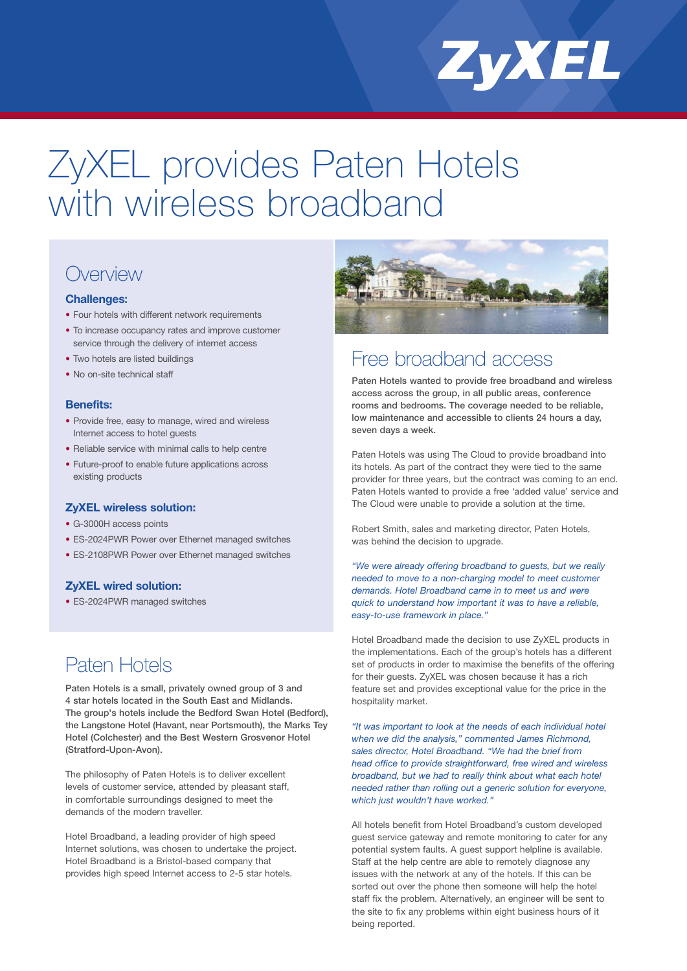

# ZyXEL provides Paten Hotels with wireless broadband

## **Overview**

## **Challenges:**

- Four hotels with different network requirements
- To increase occupancy rates and improve customer service through the delivery of internet access
- Two hotels are listed buildings
- No on-site technical staff

#### **Benefits:**

- Provide free, easy to manage, wired and wireless Internet access to hotel guests
- Reliable service with minimal calls to help centre
- Future-proof to enable future applications across existing products

#### **ZyXEL wireless solution:**

- G-3000H access points
- ES-2024PWR Power over Ethernet managed switches
- ES-2108PWR Power over Ethernet managed switches

## **ZyXEL wired solution:**

• ES-2024PWR managed switches

## Paten Hotels

Paten Hotels is a small, privately owned group of 3 and 4 star hotels located in the South East and Midlands. The group's hotels include the Bedford Swan Hotel (Bedford), the Langstone Hotel (Havant, near Portsmouth), the Marks Tey Hotel (Colchester) and the Best Western Grosvenor Hotel (Stratford-Upon-Avon).

The philosophy of Paten Hotels is to deliver excellent levels of customer service, attended by pleasant staff, in comfortable surroundings designed to meet the demands of the modern traveller.

Hotel Broadband, a leading provider of high speed Internet solutions, was chosen to undertake the project. Hotel Broadband is a Bristol-based company that provides high speed Internet access to 2-5 star hotels.



## Free broadband access

Paten Hotels wanted to provide free broadband and wireless access across the group, in all public areas, conference rooms and bedrooms. The coverage needed to be reliable, low maintenance and accessible to clients 24 hours a day, seven days a week.

Paten Hotels was using The Cloud to provide broadband into its hotels. As part of the contract they were tied to the same provider for three years, but the contract was coming to an end. Paten Hotels wanted to provide a free 'added value' service and The Cloud were unable to provide a solution at the time.

Robert Smith, sales and marketing director, Paten Hotels, was behind the decision to upgrade.

*"We were already offering broadband to guests, but we really needed to move to a non-charging model to meet customer demands. Hotel Broadband came in to meet us and were quick to understand how important it was to have a reliable, easy-to-use framework in place."*

Hotel Broadband made the decision to use ZyXEL products in the implementations. Each of the group's hotels has a different set of products in order to maximise the benefits of the offering for their guests. ZyXEL was chosen because it has a rich feature set and provides exceptional value for the price in the hospitality market.

*"It was important to look at the needs of each individual hotel when we did the analysis," commented James Richmond, sales director, Hotel Broadband. "We had the brief from head office to provide straightforward, free wired and wireless broadband, but we had to really think about what each hotel needed rather than rolling out a generic solution for everyone, which just wouldn't have worked."*

All hotels benefit from Hotel Broadband's custom developed guest service gateway and remote monitoring to cater for any potential system faults. A guest support helpline is available. Staff at the help centre are able to remotely diagnose any issues with the network at any of the hotels. If this can be sorted out over the phone then someone will help the hotel staff fix the problem. Alternatively, an engineer will be sent to the site to fix any problems within eight business hours of it being reported.